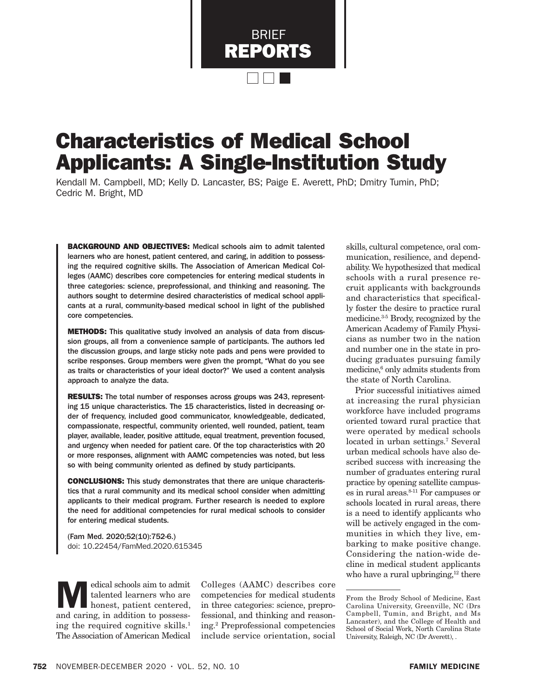BRIEF REPORTS

# Characteristics of Medical School Applicants: A Single-Institution Study

Kendall M. Campbell, MD; Kelly D. Lancaster, BS; Paige E. Averett, PhD; Dmitry Tumin, PhD; Cedric M. Bright, MD

BACKGROUND AND OBJECTIVES: Medical schools aim to admit talented learners who are honest, patient centered, and caring, in addition to possessing the required cognitive skills. The Association of American Medical Colleges (AAMC) describes core competencies for entering medical students in three categories: science, preprofessional, and thinking and reasoning. The authors sought to determine desired characteristics of medical school applicants at a rural, community-based medical school in light of the published core competencies.

**METHODS:** This qualitative study involved an analysis of data from discussion groups, all from a convenience sample of participants. The authors led the discussion groups, and large sticky note pads and pens were provided to scribe responses. Group members were given the prompt, "What do you see as traits or characteristics of your ideal doctor?" We used a content analysis approach to analyze the data.

RESULTS: The total number of responses across groups was 243, representing 15 unique characteristics. The 15 characteristics, listed in decreasing order of frequency, included good communicator, knowledgeable, dedicated, compassionate, respectful, community oriented, well rounded, patient, team player, available, leader, positive attitude, equal treatment, prevention focused, and urgency when needed for patient care. Of the top characteristics with 20 or more responses, alignment with AAMC competencies was noted, but less so with being community oriented as defined by study participants.

CONCLUSIONS: This study demonstrates that there are unique characteristics that a rural community and its medical school consider when admitting applicants to their medical program. Further research is needed to explore the need for additional competencies for rural medical schools to consider for entering medical students.

(Fam Med. 2020;52(10):752-6.) doi: 10.22454/FamMed.2020.615345

Medical schools aim to admit<br>
talented learners who are<br>
honest, patient centered, talented learners who are and caring, in addition to possessing the required cognitive skills.<sup>1</sup> The Association of American Medical

Colleges (AAMC) describes core competencies for medical students in three categories: science, preprofessional, and thinking and reasoning.2 Preprofessional competencies include service orientation, social

skills, cultural competence, oral communication, resilience, and dependability. We hypothesized that medical schools with a rural presence recruit applicants with backgrounds and characteristics that specifically foster the desire to practice rural medicine.3-5 Brody, recognized by the American Academy of Family Physicians as number two in the nation and number one in the state in producing graduates pursuing family medicine,<sup>6</sup> only admits students from the state of North Carolina.

Prior successful initiatives aimed at increasing the rural physician workforce have included programs oriented toward rural practice that were operated by medical schools located in urban settings.<sup>7</sup> Several urban medical schools have also described success with increasing the number of graduates entering rural practice by opening satellite campuses in rural areas.8-11 For campuses or schools located in rural areas, there is a need to identify applicants who will be actively engaged in the communities in which they live, embarking to make positive change. Considering the nation-wide decline in medical student applicants who have a rural upbringing, $12$  there

From the Brody School of Medicine, East Carolina University, Greenville, NC (Drs Campbell, Tumin, and Bright, and Ms Lancaster), and the College of Health and School of Social Work, North Carolina State University, Raleigh, NC (Dr Averett), .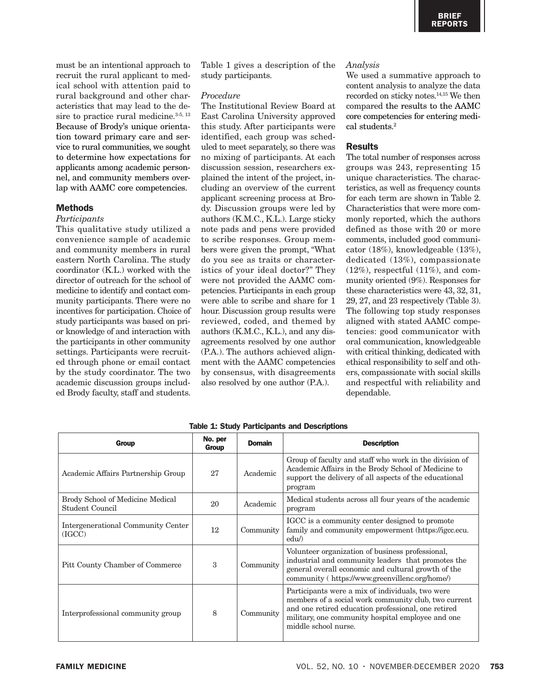must be an intentional approach to recruit the rural applicant to medical school with attention paid to rural background and other characteristics that may lead to the desire to practice rural medicine.<sup>3-5, 13</sup> Because of Brody's unique orientation toward primary care and service to rural communities, we sought to determine how expectations for applicants among academic personnel, and community members overlap with AAMC core competencies.

#### Methods

#### *Participants*

This qualitative study utilized a convenience sample of academic and community members in rural eastern North Carolina. The study coordinator (K.L.) worked with the director of outreach for the school of medicine to identify and contact community participants. There were no incentives for participation. Choice of study participants was based on prior knowledge of and interaction with the participants in other community settings. Participants were recruited through phone or email contact by the study coordinator. The two academic discussion groups included Brody faculty, staff and students.

Table 1 gives a description of the study participants.

#### *Procedure*

The Institutional Review Board at East Carolina University approved this study. After participants were identified, each group was scheduled to meet separately, so there was no mixing of participants. At each discussion session, researchers explained the intent of the project, including an overview of the current applicant screening process at Brody. Discussion groups were led by authors (K.M.C., K.L.). Large sticky note pads and pens were provided to scribe responses. Group members were given the prompt, "What do you see as traits or characteristics of your ideal doctor?" They were not provided the AAMC competencies. Participants in each group were able to scribe and share for 1 hour. Discussion group results were reviewed, coded, and themed by authors (K.M.C., K.L.), and any disagreements resolved by one author (P.A.). The authors achieved alignment with the AAMC competencies by consensus, with disagreements also resolved by one author (P.A.).

### *Analysis*

We used a summative approach to content analysis to analyze the data recorded on sticky notes.14,15 We then compared the results to the AAMC core competencies for entering medical students.<sup>2</sup>

# Results

The total number of responses across groups was 243, representing 15 unique characteristics. The characteristics, as well as frequency counts for each term are shown in Table 2. Characteristics that were more commonly reported, which the authors defined as those with 20 or more comments, included good communicator (18%), knowledgeable (13%), dedicated (13%), compassionate  $(12\%)$ , respectful  $(11\%)$ , and community oriented (9%). Responses for these characteristics were 43, 32, 31, 29, 27, and 23 respectively (Table 3). The following top study responses aligned with stated AAMC competencies: good communicator with oral communication, knowledgeable with critical thinking, dedicated with ethical responsibility to self and others, compassionate with social skills and respectful with reliability and dependable.

| Group                                                      | No. per<br>Group | <b>Domain</b> | <b>Description</b>                                                                                                                                                                                                                           |  |
|------------------------------------------------------------|------------------|---------------|----------------------------------------------------------------------------------------------------------------------------------------------------------------------------------------------------------------------------------------------|--|
| Academic Affairs Partnership Group                         | 27               | Academic      | Group of faculty and staff who work in the division of<br>Academic Affairs in the Brody School of Medicine to<br>support the delivery of all aspects of the educational<br>program                                                           |  |
| Brody School of Medicine Medical<br><b>Student Council</b> | 20               | Academic      | Medical students across all four years of the academic<br>program                                                                                                                                                                            |  |
| Intergenerational Community Center<br>(IGCC)               | 12               | Community     | IGCC is a community center designed to promote<br>family and community empowerment (https://igcc.ecu.<br>edu                                                                                                                                 |  |
| Pitt County Chamber of Commerce                            | 3                | Community     | Volunteer organization of business professional,<br>industrial and community leaders that promotes the<br>general overall economic and cultural growth of the<br>community (https://www.greenvillenc.org/home/)                              |  |
| Interprofessional community group                          | 8                | Community     | Participants were a mix of individuals, two were<br>members of a social work community club, two current<br>and one retired education professional, one retired<br>military, one community hospital employee and one<br>middle school nurse. |  |

Table 1: Study Participants and Descriptions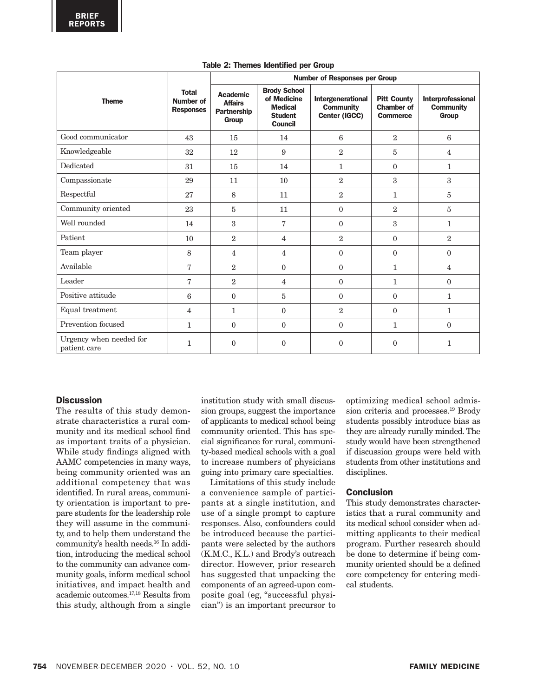|                                         |                                                      | <b>Number of Responses per Group</b>                             |                                                                                          |                                                        |                                                            |                                                |  |
|-----------------------------------------|------------------------------------------------------|------------------------------------------------------------------|------------------------------------------------------------------------------------------|--------------------------------------------------------|------------------------------------------------------------|------------------------------------------------|--|
| <b>Theme</b>                            | <b>Total</b><br><b>Number of</b><br><b>Responses</b> | <b>Academic</b><br><b>Affairs</b><br>Partnership<br><b>Group</b> | <b>Brody School</b><br>of Medicine<br><b>Medical</b><br><b>Student</b><br><b>Council</b> | Intergenerational<br><b>Community</b><br>Center (IGCC) | <b>Pitt County</b><br><b>Chamber of</b><br><b>Commerce</b> | Interprofessional<br><b>Community</b><br>Group |  |
| Good communicator                       | 43                                                   | 15                                                               | 14                                                                                       | 6                                                      | 2                                                          | 6                                              |  |
| Knowledgeable                           | 32                                                   | 12                                                               | 9                                                                                        | $\overline{2}$                                         | 5                                                          | $\overline{4}$                                 |  |
| Dedicated                               | 31                                                   | 15                                                               | 14                                                                                       | $\mathbf{1}$                                           | $\mathbf{0}$                                               | $\mathbf{1}$                                   |  |
| Compassionate                           | 29                                                   | 11                                                               | 10                                                                                       | $\,2$                                                  | 3                                                          | $\mathbf{3}$                                   |  |
| Respectful                              | 27                                                   | 8                                                                | 11                                                                                       | $\overline{2}$                                         | $\mathbf{1}$                                               | 5                                              |  |
| Community oriented                      | 23                                                   | 5                                                                | 11                                                                                       | $\overline{0}$                                         | 2                                                          | 5                                              |  |
| Well rounded                            | 14                                                   | 3                                                                | 7                                                                                        | $\Omega$                                               | 3                                                          | $\mathbf{1}$                                   |  |
| Patient                                 | 10                                                   | $\overline{2}$                                                   | $\overline{4}$                                                                           | $\,2$                                                  | $\mathbf{0}$                                               | $\sqrt{2}$                                     |  |
| Team player                             | 8                                                    | $\overline{4}$                                                   | 4                                                                                        | $\overline{0}$                                         | $\mathbf{0}$                                               | $\theta$                                       |  |
| Available                               | 7                                                    | $\overline{2}$                                                   | $\mathbf{0}$                                                                             | $\overline{0}$                                         | $\mathbf{1}$                                               | $\overline{4}$                                 |  |
| Leader                                  | $\overline{7}$                                       | $\overline{2}$                                                   | 4                                                                                        | $\mathbf{0}$                                           | $\mathbf{1}$                                               | $\mathbf{0}$                                   |  |
| Positive attitude                       | 6                                                    | $\theta$                                                         | 5                                                                                        | $\mathbf{0}$                                           | $\mathbf{0}$                                               | $\mathbf{1}$                                   |  |
| Equal treatment                         | $\overline{4}$                                       | $\mathbf{1}$                                                     | $\mathbf{0}$                                                                             | $\,2$                                                  | $\mathbf{0}$                                               | $\mathbf{1}$                                   |  |
| Prevention focused                      | $\mathbf{1}$                                         | $\Omega$                                                         | $\mathbf{0}$                                                                             | $\mathbf{0}$                                           | $\mathbf{1}$                                               | $\mathbf{0}$                                   |  |
| Urgency when needed for<br>patient care | $\mathbf{1}$                                         | $\mathbf{0}$                                                     | $\boldsymbol{0}$                                                                         | $\boldsymbol{0}$                                       | $\boldsymbol{0}$                                           | $\mathbf{1}$                                   |  |

#### Table 2: Themes Identified per Group

# **Discussion**

The results of this study demonstrate characteristics a rural community and its medical school find as important traits of a physician. While study findings aligned with AAMC competencies in many ways, being community oriented was an additional competency that was identified. In rural areas, community orientation is important to prepare students for the leadership role they will assume in the community, and to help them understand the community's health needs.16 In addition, introducing the medical school to the community can advance community goals, inform medical school initiatives, and impact health and academic outcomes.17,18 Results from this study, although from a single institution study with small discussion groups, suggest the importance of applicants to medical school being community oriented. This has special significance for rural, community-based medical schools with a goal to increase numbers of physicians going into primary care specialties.

Limitations of this study include a convenience sample of participants at a single institution, and use of a single prompt to capture responses. Also, confounders could be introduced because the participants were selected by the authors (K.M.C., K.L.) and Brody's outreach director. However, prior research has suggested that unpacking the components of an agreed-upon composite goal (eg, "successful physician") is an important precursor to optimizing medical school admission criteria and processes.19 Brody students possibly introduce bias as they are already rurally minded. The study would have been strengthened if discussion groups were held with students from other institutions and disciplines.

# **Conclusion**

This study demonstrates characteristics that a rural community and its medical school consider when admitting applicants to their medical program. Further research should be done to determine if being community oriented should be a defined core competency for entering medical students.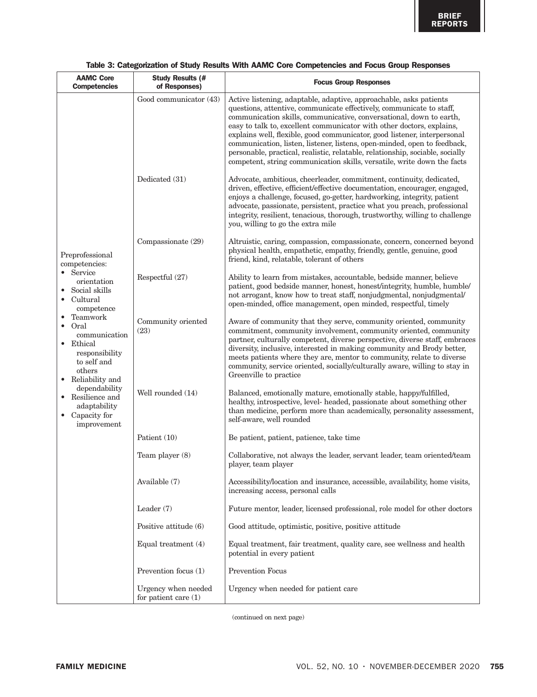| <b>AAMC Core</b><br><b>Competencies</b>                                                                                                                                                                                                                                                                                                                                                                                      | <b>Study Results (#</b><br>of Responses)      | <b>Focus Group Responses</b>                                                                                                                                                                                                                                                                                                                                                                                                                                                                                                                                                                                   |
|------------------------------------------------------------------------------------------------------------------------------------------------------------------------------------------------------------------------------------------------------------------------------------------------------------------------------------------------------------------------------------------------------------------------------|-----------------------------------------------|----------------------------------------------------------------------------------------------------------------------------------------------------------------------------------------------------------------------------------------------------------------------------------------------------------------------------------------------------------------------------------------------------------------------------------------------------------------------------------------------------------------------------------------------------------------------------------------------------------------|
| Dedicated (31)<br>Preprofessional<br>competencies:<br>• Service<br>Respectful (27)<br>orientation<br>Social skills<br>• Cultural<br>competence<br>Teamwork<br>$\bullet$ Oral<br>(23)<br>communication<br>• Ethical<br>responsibility<br>to self and<br>others<br>• Reliability and<br>dependability<br>• Resilience and<br>adaptability<br>• Capacity for<br>improvement<br>Patient (10)<br>Team player (8)<br>Available (7) | Good communicator (43)                        | Active listening, adaptable, adaptive, approachable, asks patients<br>questions, attentive, communicate effectively, communicate to staff,<br>communication skills, communicative, conversational, down to earth,<br>easy to talk to, excellent communicator with other doctors, explains,<br>explains well, flexible, good communicator, good listener, interpersonal<br>communication, listen, listener, listens, open-minded, open to feedback,<br>personable, practical, realistic, relatable, relationship, sociable, socially<br>competent, string communication skills, versatile, write down the facts |
|                                                                                                                                                                                                                                                                                                                                                                                                                              |                                               | Advocate, ambitious, cheerleader, commitment, continuity, dedicated,<br>driven, effective, efficient/effective documentation, encourager, engaged,<br>enjoys a challenge, focused, go-getter, hardworking, integrity, patient<br>advocate, passionate, persistent, practice what you preach, professional<br>integrity, resilient, tenacious, thorough, trustworthy, willing to challenge<br>you, willing to go the extra mile                                                                                                                                                                                 |
|                                                                                                                                                                                                                                                                                                                                                                                                                              | Compassionate (29)                            | Altruistic, caring, compassion, compassionate, concern, concerned beyond<br>physical health, empathetic, empathy, friendly, gentle, genuine, good<br>friend, kind, relatable, tolerant of others                                                                                                                                                                                                                                                                                                                                                                                                               |
|                                                                                                                                                                                                                                                                                                                                                                                                                              |                                               | Ability to learn from mistakes, accountable, bedside manner, believe<br>patient, good bedside manner, honest, honest/integrity, humble, humble/<br>not arrogant, know how to treat staff, nonjudgmental, nonjudgmental/<br>open-minded, office management, open minded, respectful, timely                                                                                                                                                                                                                                                                                                                     |
|                                                                                                                                                                                                                                                                                                                                                                                                                              | Community oriented                            | Aware of community that they serve, community oriented, community<br>commitment, community involvement, community oriented, community<br>partner, culturally competent, diverse perspective, diverse staff, embraces<br>diversity, inclusive, interested in making community and Brody better,<br>meets patients where they are, mentor to community, relate to diverse<br>community, service oriented, socially/culturally aware, willing to stay in<br>Greenville to practice                                                                                                                                |
|                                                                                                                                                                                                                                                                                                                                                                                                                              | Well rounded (14)                             | Balanced, emotionally mature, emotionally stable, happy/fulfilled,<br>healthy, introspective, level- headed, passionate about something other<br>than medicine, perform more than academically, personality assessment,<br>self-aware, well rounded                                                                                                                                                                                                                                                                                                                                                            |
|                                                                                                                                                                                                                                                                                                                                                                                                                              |                                               | Be patient, patient, patience, take time                                                                                                                                                                                                                                                                                                                                                                                                                                                                                                                                                                       |
|                                                                                                                                                                                                                                                                                                                                                                                                                              |                                               | Collaborative, not always the leader, servant leader, team oriented/team<br>player, team player                                                                                                                                                                                                                                                                                                                                                                                                                                                                                                                |
|                                                                                                                                                                                                                                                                                                                                                                                                                              |                                               | Accessibility/location and insurance, accessible, availability, home visits,<br>increasing access, personal calls                                                                                                                                                                                                                                                                                                                                                                                                                                                                                              |
|                                                                                                                                                                                                                                                                                                                                                                                                                              | Leader (7)                                    | Future mentor, leader, licensed professional, role model for other doctors                                                                                                                                                                                                                                                                                                                                                                                                                                                                                                                                     |
|                                                                                                                                                                                                                                                                                                                                                                                                                              | Positive attitude (6)                         | Good attitude, optimistic, positive, positive attitude                                                                                                                                                                                                                                                                                                                                                                                                                                                                                                                                                         |
|                                                                                                                                                                                                                                                                                                                                                                                                                              | Equal treatment (4)                           | Equal treatment, fair treatment, quality care, see wellness and health<br>potential in every patient                                                                                                                                                                                                                                                                                                                                                                                                                                                                                                           |
|                                                                                                                                                                                                                                                                                                                                                                                                                              | Prevention focus (1)                          | <b>Prevention Focus</b>                                                                                                                                                                                                                                                                                                                                                                                                                                                                                                                                                                                        |
|                                                                                                                                                                                                                                                                                                                                                                                                                              | Urgency when needed<br>for patient care $(1)$ | Urgency when needed for patient care                                                                                                                                                                                                                                                                                                                                                                                                                                                                                                                                                                           |

# Table 3: Categorization of Study Results With AAMC Core Competencies and Focus Group Responses

(continued on next page)